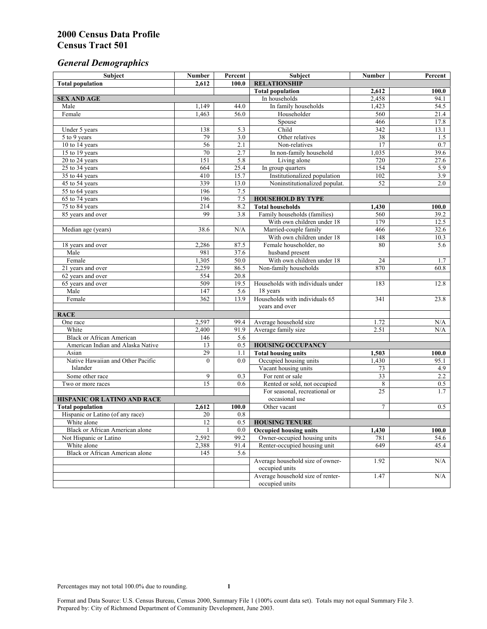# *General Demographics*

| Subject                           | <b>Number</b>   | Percent          | Subject                                                 | <b>Number</b>   | Percent       |
|-----------------------------------|-----------------|------------------|---------------------------------------------------------|-----------------|---------------|
| <b>Total population</b>           | 2,612           | 100.0            | <b>RELATIONSHIP</b>                                     |                 |               |
|                                   |                 |                  | <b>Total population</b>                                 | 2,612           | 100.0         |
| <b>SEX AND AGE</b>                |                 |                  | In households                                           | 2,458           | 94.1          |
| Male                              | 1,149           | 44.0             | In family households                                    | 1,423           | 54.5          |
| Female                            | 1,463           | 56.0             | Householder                                             | 560             | 21.4          |
|                                   |                 |                  | Spouse                                                  | 466             | 17.8          |
| Under 5 years                     | 138             | 5.3              | Child                                                   | 342             | 13.1          |
| 5 to 9 years                      | 79              | $\overline{3.0}$ | Other relatives                                         | $\overline{38}$ | 1.5           |
| 10 to 14 years                    | 56              | 2.1              | Non-relatives                                           | 17              | 0.7           |
| 15 to 19 years                    | 70              | 2.7              | In non-family household                                 | 1,035           | 39.6          |
| 20 to 24 years                    | 151             | 5.8              | Living alone                                            | 720             | 27.6          |
| $25 \text{ to } 34$ years         | 664             | 25.4             | In group quarters                                       | 154             | 5.9           |
| 35 to 44 years                    | 410             | 15.7             | Institutionalized population                            | 102             | 3.9           |
| 45 to 54 years                    | 339             | 13.0             | Noninstitutionalized populat.                           | 52              | 2.0           |
| 55 to 64 years                    | 196             | 7.5              |                                                         |                 |               |
| 65 to 74 years                    | 196             | 7.5              | <b>HOUSEHOLD BY TYPE</b>                                |                 |               |
| 75 to 84 years                    | 214<br>99       | 8.2<br>3.8       | <b>Total households</b><br>Family households (families) | 1,430<br>560    | 100.0<br>39.2 |
| 85 years and over                 |                 |                  | With own children under 18                              | 179             | 12.5          |
|                                   | 38.6            | N/A              | Married-couple family                                   | 466             | 32.6          |
| Median age (years)                |                 |                  | With own children under 18                              | 148             | 10.3          |
| 18 years and over                 | 2,286           | 87.5             | Female householder, no                                  | 80              | 5.6           |
| Male                              | 981             | 37.6             | husband present                                         |                 |               |
| Female                            | 1,305           | 50.0             | With own children under 18                              | 24              | 1.7           |
| 21 years and over                 | 2,259           | 86.5             | Non-family households                                   | 870             | 60.8          |
| 62 years and over                 | 554             | 20.8             |                                                         |                 |               |
| 65 years and over                 | 509             | 19.5             | Households with individuals under                       | 183             | 12.8          |
| Male                              | 147             | 5.6              | 18 years                                                |                 |               |
| Female                            | 362             | 13.9             | Households with individuals 65                          | 341             | 23.8          |
|                                   |                 |                  | years and over                                          |                 |               |
| <b>RACE</b>                       |                 |                  |                                                         |                 |               |
| One race                          | 2,597           | 99.4             | Average household size                                  | 1.72            | $\rm N/A$     |
| White                             | 2,400           | 91.9             | Average family size                                     | 2.51            | N/A           |
| <b>Black or African American</b>  | 146             | 5.6              |                                                         |                 |               |
| American Indian and Alaska Native | 13              | 0.5              | <b>HOUSING OCCUPANCY</b>                                |                 |               |
| Asian                             | 29              | 1.1              | <b>Total housing units</b>                              | 1,503           | 100.0         |
| Native Hawaiian and Other Pacific | $\theta$        | 0.0              | Occupied housing units                                  | 1,430           | 95.1          |
| Islander                          |                 |                  | Vacant housing units                                    | 73              | 4.9           |
| Some other race                   | 9               | 0.3              | For rent or sale                                        | $\overline{33}$ | 2.2           |
| Two or more races                 | $\overline{15}$ | 0.6              | Rented or sold, not occupied                            | 8               | 0.5           |
|                                   |                 |                  | For seasonal, recreational or                           | 25              | 1.7           |
| HISPANIC OR LATINO AND RACE       |                 |                  | occasional use                                          |                 |               |
| <b>Total population</b>           | 2,612           | 100.0            | Other vacant                                            | 7               | 0.5           |
| Hispanic or Latino (of any race)  | 20              | 0.8              |                                                         |                 |               |
| White alone                       | 12              | 0.5              | <b>HOUSING TENURE</b>                                   |                 |               |
| Black or African American alone   | 1               | 0.0              | <b>Occupied housing units</b>                           | 1,430           | 100.0         |
| Not Hispanic or Latino            | 2,592           | 99.2             | Owner-occupied housing units                            | 781             | 54.6          |
| White alone                       | 2,388           | 91.4             | Renter-occupied housing unit                            | 649             | 45.4          |
| Black or African American alone   | 145             | 5.6              |                                                         |                 |               |
|                                   |                 |                  | Average household size of owner-                        | 1.92            | N/A           |
|                                   |                 |                  | occupied units                                          |                 |               |
|                                   |                 |                  | Average household size of renter-                       | 1.47            | N/A           |
|                                   |                 |                  | occupied units                                          |                 |               |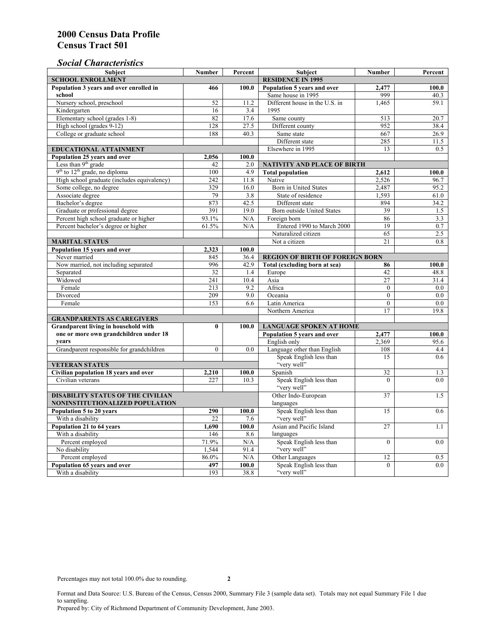## *Social Characteristics*

| <b>Subject</b>                                            | <b>Number</b>            | Percent                        | <b>Subject</b>                         | <b>Number</b>    | Percent |
|-----------------------------------------------------------|--------------------------|--------------------------------|----------------------------------------|------------------|---------|
| <b>SCHOOL ENROLLMENT</b>                                  | <b>RESIDENCE IN 1995</b> |                                |                                        |                  |         |
| Population 3 years and over enrolled in                   | 466                      | 100.0                          | Population 5 years and over            | 2,477            | 100.0   |
| school                                                    |                          |                                | Same house in 1995                     | 999              | 40.3    |
| Nursery school, preschool                                 | 52                       | 11.2                           | Different house in the U.S. in         | 1.465            | 59.1    |
| Kindergarten                                              | 16                       | 3.4                            | 1995                                   |                  |         |
| Elementary school (grades 1-8)                            | 82                       | 17.6                           | Same county                            | 513              | 20.7    |
| High school (grades 9-12)                                 | 128                      | 27.5                           | Different county                       | 952              | 38.4    |
| College or graduate school                                | 188                      | 40.3                           | Same state                             | 667              | 26.9    |
|                                                           |                          |                                | Different state                        | 285              | 11.5    |
| <b>EDUCATIONAL ATTAINMENT</b>                             |                          |                                | Elsewhere in 1995                      | 13               | 0.5     |
| Population 25 years and over                              | 2,056                    | 100.0                          |                                        |                  |         |
| Less than 9 <sup>th</sup> grade                           | 42                       | 2.0                            | NATIVITY AND PLACE OF BIRTH            |                  |         |
| $9th$ to $12th$ grade, no diploma                         | 100                      | 4.9                            | <b>Total population</b>                | 2,612            | 100.0   |
| High school graduate (includes equivalency)               | 242                      | 11.8                           | Native                                 | 2.526            | 96.7    |
| Some college, no degree                                   | 329                      | 16.0                           | <b>Born</b> in United States           | 2,487            | 95.2    |
| Associate degree                                          | 79                       | 3.8                            | State of residence                     | 1,593            | 61.0    |
| Bachelor's degree                                         | 873                      | 42.5                           | Different state                        | 894              | 34.2    |
| Graduate or professional degree                           | 391                      | 19.0                           | Born outside United States             | 39               | 1.5     |
| Percent high school graduate or higher                    | 93.1%                    | N/A                            | Foreign born                           | 86               | 3.3     |
| Percent bachelor's degree or higher                       | 61.5%                    | N/A                            | Entered 1990 to March 2000             | 19               | 0.7     |
|                                                           |                          |                                | Naturalized citizen                    | 65               | 2.5     |
| <b>MARITAL STATUS</b>                                     |                          |                                | Not a citizen                          | 21               | 0.8     |
| Population 15 years and over                              | 2,323                    | 100.0                          |                                        |                  |         |
| Never married                                             | 845                      | 36.4                           | <b>REGION OF BIRTH OF FOREIGN BORN</b> |                  |         |
| Now married, not including separated                      | 996                      | 42.9                           | Total (excluding born at sea)          | 86               | 100.0   |
| Separated                                                 | 32                       | 1.4                            | Europe                                 | 42               | 48.8    |
| Widowed                                                   | 241                      | 10.4                           | Asia                                   | 27               | 31.4    |
| Female                                                    | 213                      | 9.2                            | Africa                                 | $\theta$         | 0.0     |
| Divorced                                                  | 209                      | 9.0                            | Oceania                                | $\Omega$         | 0.0     |
| Female                                                    | 153                      | 6.6                            | Latin America                          | $\boldsymbol{0}$ | 0.0     |
|                                                           |                          |                                | Northern America                       | $\overline{17}$  | 19.8    |
| <b>GRANDPARENTS AS CAREGIVERS</b>                         |                          |                                |                                        |                  |         |
| Grandparent living in household with<br>$\bf{0}$<br>100.0 |                          | <b>LANGUAGE SPOKEN AT HOME</b> |                                        |                  |         |
| one or more own grandchildren under 18                    |                          |                                | Population 5 years and over            | 2,477            | 100.0   |
| years                                                     |                          |                                | English only                           | 2,369            | 95.6    |
| Grandparent responsible for grandchildren                 | $\theta$                 | 0.0                            | Language other than English            | 108              | 4.4     |
|                                                           |                          |                                | Speak English less than                | 15               | 0.6     |
| <b>VETERAN STATUS</b>                                     |                          |                                | "very well"                            |                  |         |
| Civilian population 18 years and over                     | 2,210                    | 100.0                          | Spanish                                | 32               | 1.3     |
| Civilian veterans                                         | 227                      | 10.3                           | Speak English less than                | $\theta$         | 0.0     |
|                                                           |                          |                                | "very well"                            |                  |         |
| <b>DISABILITY STATUS OF THE CIVILIAN</b>                  | Other Indo-European      | 37                             | 1.5                                    |                  |         |
| NONINSTITUTIONALIZED POPULATION                           | languages                |                                |                                        |                  |         |
| Population 5 to 20 years                                  | 290                      | 100.0                          | Speak English less than                | 15               | 0.6     |
| With a disability                                         | 22                       | 7.6                            | "very well"                            |                  |         |
| Population 21 to 64 years                                 | 1.690                    | 100.0                          | Asian and Pacific Island               | 27               | 1.1     |
| With a disability                                         | 146                      | 8.6                            | languages                              |                  |         |
| Percent employed                                          | 71.9%                    | N/A                            | Speak English less than                | $\overline{0}$   | 0.0     |
| No disability                                             | 1,544                    | 91.4                           | "very well"                            |                  |         |
| Percent employed                                          | 86.0%                    | N/A                            | Other Languages                        | 12               | 0.5     |
| Population 65 years and over                              | 497                      | 100.0                          | Speak English less than                | $\mathbf{0}$     | 0.0     |
| With a disability                                         | 193                      | 38.8                           | "very well"                            |                  |         |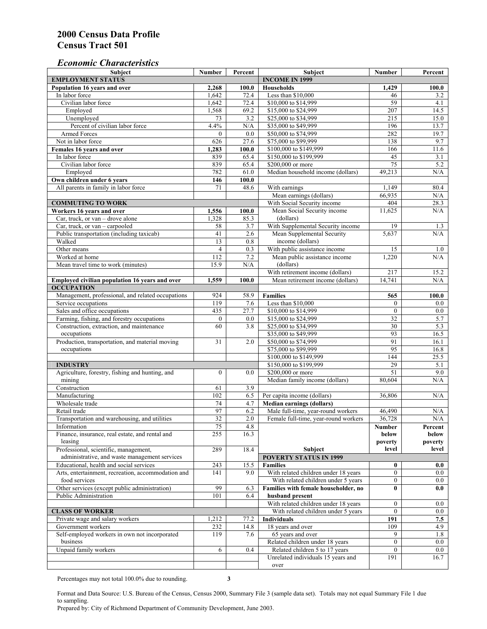#### *Economic Characteristics*

| <b>Subject</b>                                     | Number           | Percent   | Subject                                    | Number           | Percent    |
|----------------------------------------------------|------------------|-----------|--------------------------------------------|------------------|------------|
| <b>EMPLOYMENT STATUS</b>                           |                  |           | <b>INCOME IN 1999</b>                      |                  |            |
| Population 16 years and over                       | 2,268            | 100.0     | Households                                 | 1,429            | 100.0      |
| In labor force                                     | 1,642            | 72.4      | Less than \$10,000                         | 46               | 3.2        |
| Civilian labor force                               | 1,642            | 72.4      | \$10,000 to \$14,999                       | 59               | 4.1        |
| Employed                                           | 1,568            | 69.2      | \$15,000 to \$24,999                       | 207              | 14.5       |
| Unemployed                                         | 73               | 3.2       | \$25,000 to \$34,999                       | 215              | 15.0       |
| Percent of civilian labor force                    | 4.4%             | $\rm N/A$ | \$35,000 to \$49,999                       | 196              | 13.7       |
| Armed Forces                                       | $\mathbf{0}$     | 0.0       | \$50,000 to \$74,999                       | 282              | 19.7       |
| Not in labor force                                 | 626              | 27.6      | \$75,000 to \$99,999                       | 138              | 9.7        |
| Females 16 years and over                          | 1,283            | 100.0     | \$100,000 to \$149,999                     | 166              | 11.6       |
| In labor force                                     | 839              | 65.4      | \$150,000 to \$199,999                     | 45               | 3.1        |
| Civilian labor force                               | 839              | 65.4      | \$200,000 or more                          | 75               | 5.2        |
| Employed                                           | 782              | 61.0      | Median household income (dollars)          | 49,213           | N/A        |
| Own children under 6 years                         | 146              | 100.0     |                                            |                  |            |
| All parents in family in labor force               | 71               | 48.6      | With earnings                              | 1,149            | 80.4       |
|                                                    |                  |           | Mean earnings (dollars)                    | 66,935           | N/A        |
| <b>COMMUTING TO WORK</b>                           |                  |           | With Social Security income                | 404              | 28.3       |
| Workers 16 years and over                          | 1,556            | 100.0     | Mean Social Security income                | 11,625           | N/A        |
| Car, truck, or van – drove alone                   | 1,328            | 85.3      | (dollars)                                  |                  |            |
| Car, truck, or van - carpooled                     | 58               | 3.7       | With Supplemental Security income          | 19               | 1.3        |
| Public transportation (including taxicab)          | 41               | 2.6       | Mean Supplemental Security                 | 5,637            | N/A        |
| Walked                                             | 13               | 0.8       | income (dollars)                           |                  |            |
| Other means                                        | $\overline{4}$   | 0.3       | With public assistance income              | 15               |            |
| Worked at home                                     | $\overline{112}$ | 7.2       |                                            | 1,220            | 1.0<br>N/A |
|                                                    |                  |           | Mean public assistance income<br>(dollars) |                  |            |
| Mean travel time to work (minutes)                 | 15.9             | N/A       |                                            |                  |            |
|                                                    |                  |           | With retirement income (dollars)           | $\overline{217}$ | 15.2       |
| Employed civilian population 16 years and over     | 1,559            | 100.0     | Mean retirement income (dollars)           | 14,741           | N/A        |
| <b>OCCUPATION</b>                                  |                  |           |                                            |                  |            |
| Management, professional, and related occupations  | 924              | 58.9      | <b>Families</b>                            | 565              | 100.0      |
| Service occupations                                | 119              | 7.6       | Less than \$10,000                         | $\mathbf{0}$     | $0.0\,$    |
| Sales and office occupations                       | 435              | 27.7      | \$10,000 to \$14,999                       | $\mathbf{0}$     | $0.0\,$    |
| Farming, fishing, and forestry occupations         | $\boldsymbol{0}$ | 0.0       | \$15,000 to \$24,999                       | 32               | 5.7        |
| Construction, extraction, and maintenance          | 60               | 3.8       | \$25,000 to \$34,999                       | 30               | 5.3        |
| occupations                                        |                  |           | \$35,000 to \$49,999                       | 93               | 16.5       |
| Production, transportation, and material moving    | 31               | 2.0       | \$50,000 to \$74,999                       | 91               | 16.1       |
| occupations                                        |                  |           | \$75,000 to \$99,999                       | 95               | 16.8       |
|                                                    |                  |           | \$100,000 to \$149,999                     | 144              | 25.5       |
| <b>INDUSTRY</b>                                    |                  |           | \$150,000 to \$199,999                     | 29               | 5.1        |
| Agriculture, forestry, fishing and hunting, and    | $\mathbf{0}$     | 0.0       | \$200,000 or more                          | 51               | 9.0        |
| mining                                             |                  |           | Median family income (dollars)             | 80,604           | N/A        |
| Construction                                       | 61               | 3.9       |                                            |                  |            |
| Manufacturing                                      | 102              | 6.5       | Per capita income (dollars)                | 36,806           | N/A        |
| Wholesale trade                                    | 74               | 4.7       | <b>Median earnings (dollars)</b>           |                  |            |
| Retail trade                                       | 97               | 6.2       | Male full-time, year-round workers         | 46,490           | N/A        |
| Transportation and warehousing, and utilities      | $\overline{32}$  | 2.0       | Female full-time, year-round workers       | 36,728           | N/A        |
| Information                                        | 75               | 4.8       |                                            | Number           | Percent    |
| Finance, insurance, real estate, and rental and    | 255              | 16.3      |                                            | below            | below      |
| leasing                                            |                  |           |                                            | poverty          | poverty    |
| Professional, scientific, management,              | 289              | 18.4      | Subject                                    | level            | level      |
| administrative, and waste management services      |                  |           | <b>POVERTY STATUS IN 1999</b>              |                  |            |
| Educational, health and social services            | 243              | 15.5      | <b>Families</b>                            | $\bf{0}$         | 0.0        |
| Arts, entertainment, recreation, accommodation and | 141              | 9.0       | With related children under 18 years       | $\overline{0}$   | $0.0\,$    |
| food services                                      |                  |           | With related children under 5 years        | $\mathbf{0}$     | 0.0        |
| Other services (except public administration)      | 99               | 6.3       | Families with female householder, no       | $\bf{0}$         | 0.0        |
| Public Administration                              | 101              | 6.4       | husband present                            |                  |            |
|                                                    |                  |           | With related children under 18 years       | $\mathbf{0}$     | $0.0\,$    |
| <b>CLASS OF WORKER</b>                             |                  |           | With related children under 5 years        | $\overline{0}$   | 0.0        |
| Private wage and salary workers                    | 1,212            | 77.2      | Individuals                                | 191              | 7.5        |
| Government workers                                 | 232              | 14.8      | 18 years and over                          | 109              | 4.9        |
| Self-employed workers in own not incorporated      | 119              | 7.6       | 65 years and over                          | 9                | 1.8        |
| business                                           |                  |           | Related children under 18 years            | $\overline{0}$   | $0.0\,$    |
| Unpaid family workers                              | 6                | 0.4       | Related children 5 to 17 years             | $\mathbf{0}$     | 0.0        |
|                                                    |                  |           | Unrelated individuals 15 years and         | 191              | 16.7       |
|                                                    |                  |           | over                                       |                  |            |
|                                                    |                  |           |                                            |                  |            |

Percentages may not total 100.0% due to rounding. **3** 

Format and Data Source: U.S. Bureau of the Census, Census 2000, Summary File 3 (sample data set). Totals may not equal Summary File 1 due to sampling.

Prepared by: City of Richmond Department of Community Development, June 2003.